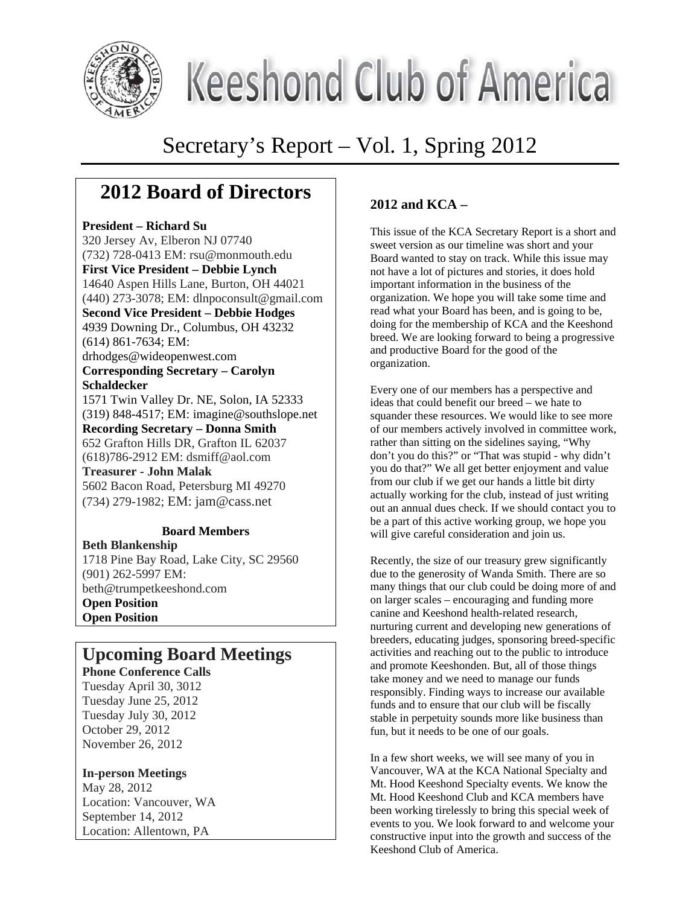

# **Keeshond Club of America**

# Secretary's Report – Vol. 1, Spring 2012

# **2012 Board of Directors**

## **President – Richard Su**

320 Jersey Av, Elberon NJ 07740 (732) 728-0413 EM: rsu@monmouth.edu **First Vice President – Debbie Lynch**  14640 Aspen Hills Lane, Burton, OH 44021 (440) 273-3078; EM: dlnpoconsult@gmail.com **Second Vice President – Debbie Hodges**  4939 Downing Dr., Columbus, OH 43232 (614) 861-7634; EM: drhodges@wideopenwest.com **Corresponding Secretary – Carolyn Schaldecker**  1571 Twin Valley Dr. NE, Solon, IA 52333 (319) 848-4517; EM: imagine@southslope.net **Recording Secretary – Donna Smith**  652 Grafton Hills DR, Grafton IL 62037 (618)786-2912 EM: dsmiff@aol.com **Treasurer - John Malak**  5602 Bacon Road, Petersburg MI 49270 (734) 279-1982; EM: jam@cass.net

#### **Board Members**

**Beth Blankenship**  1718 Pine Bay Road, Lake City, SC 29560 (901) 262-5997 EM: beth@trumpetkeeshond.com **Open Position Open Position** 

## **Upcoming Board Meetings**

**Phone Conference Calls**  Tuesday April 30, 3012 Tuesday June 25, 2012 Tuesday July 30, 2012 October 29, 2012 November 26, 2012

**In-person Meetings**  May 28, 2012 Location: Vancouver, WA September 14, 2012 Location: Allentown, PA

## **2012 and KCA –**

This issue of the KCA Secretary Report is a short and sweet version as our timeline was short and your Board wanted to stay on track. While this issue may not have a lot of pictures and stories, it does hold important information in the business of the organization. We hope you will take some time and read what your Board has been, and is going to be, doing for the membership of KCA and the Keeshond breed. We are looking forward to being a progressive and productive Board for the good of the organization.

Every one of our members has a perspective and ideas that could benefit our breed – we hate to squander these resources. We would like to see more of our members actively involved in committee work, rather than sitting on the sidelines saying, "Why don't you do this?" or "That was stupid - why didn't you do that?" We all get better enjoyment and value from our club if we get our hands a little bit dirty actually working for the club, instead of just writing out an annual dues check. If we should contact you to be a part of this active working group, we hope you will give careful consideration and join us.

Recently, the size of our treasury grew significantly due to the generosity of Wanda Smith. There are so many things that our club could be doing more of and on larger scales – encouraging and funding more canine and Keeshond health-related research, nurturing current and developing new generations of breeders, educating judges, sponsoring breed-specific activities and reaching out to the public to introduce and promote Keeshonden. But, all of those things take money and we need to manage our funds responsibly. Finding ways to increase our available funds and to ensure that our club will be fiscally stable in perpetuity sounds more like business than fun, but it needs to be one of our goals.

In a few short weeks, we will see many of you in Vancouver, WA at the KCA National Specialty and Mt. Hood Keeshond Specialty events. We know the Mt. Hood Keeshond Club and KCA members have been working tirelessly to bring this special week of events to you. We look forward to and welcome your constructive input into the growth and success of the Keeshond Club of America.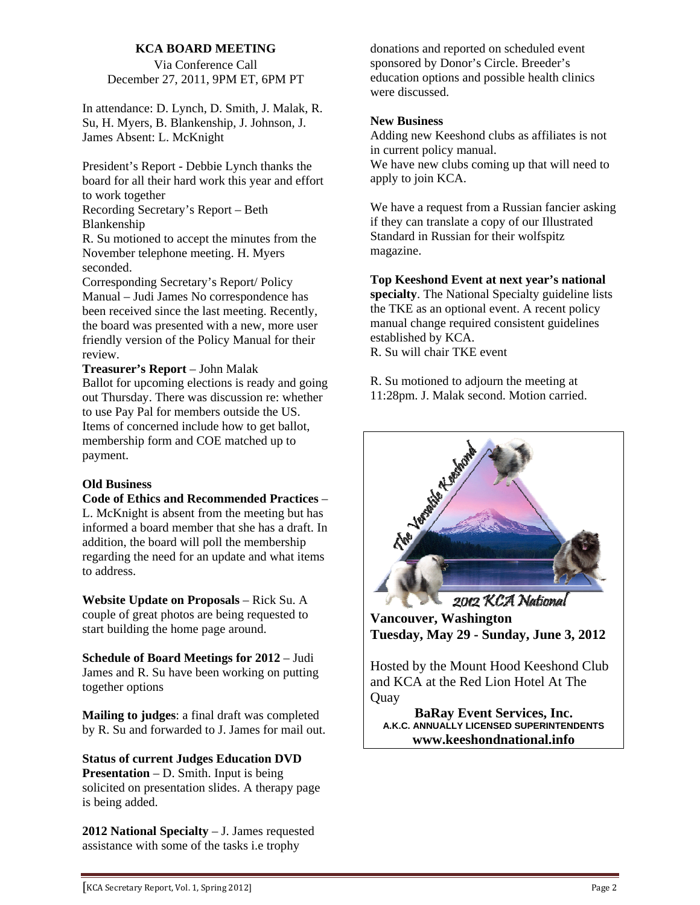#### **KCA BOARD MEETING**

Via Conference Call December 27, 2011, 9PM ET, 6PM PT

In attendance: D. Lynch, D. Smith, J. Malak, R. Su, H. Myers, B. Blankenship, J. Johnson, J. James Absent: L. McKnight

President's Report - Debbie Lynch thanks the board for all their hard work this year and effort to work together

Recording Secretary's Report – Beth Blankenship

R. Su motioned to accept the minutes from the November telephone meeting. H. Myers seconded.

Corresponding Secretary's Report/ Policy Manual – Judi James No correspondence has been received since the last meeting. Recently, the board was presented with a new, more user friendly version of the Policy Manual for their review.

**Treasurer's Report** – John Malak

Ballot for upcoming elections is ready and going out Thursday. There was discussion re: whether to use Pay Pal for members outside the US. Items of concerned include how to get ballot, membership form and COE matched up to payment.

#### **Old Business**

**Code of Ethics and Recommended Practices** –

L. McKnight is absent from the meeting but has informed a board member that she has a draft. In addition, the board will poll the membership regarding the need for an update and what items to address.

**Website Update on Proposals** – Rick Su. A couple of great photos are being requested to start building the home page around.

**Schedule of Board Meetings for 2012** – Judi James and R. Su have been working on putting together options

**Mailing to judges**: a final draft was completed by R. Su and forwarded to J. James for mail out.

#### **Status of current Judges Education DVD**

**Presentation** – D. Smith. Input is being solicited on presentation slides. A therapy page is being added.

**2012 National Specialty** – J. James requested assistance with some of the tasks i.e trophy

donations and reported on scheduled event sponsored by Donor's Circle. Breeder's education options and possible health clinics were discussed.

#### **New Business**

Adding new Keeshond clubs as affiliates is not in current policy manual. We have new clubs coming up that will need to apply to join KCA.

We have a request from a Russian fancier asking if they can translate a copy of our Illustrated Standard in Russian for their wolfspitz magazine.

**Top Keeshond Event at next year's national specialty**. The National Specialty guideline lists the TKE as an optional event. A recent policy manual change required consistent guidelines established by KCA. R. Su will chair TKE event

R. Su motioned to adjourn the meeting at 11:28pm. J. Malak second. Motion carried.



**Vancouver, Washington Tuesday, May 29 - Sunday, June 3, 2012** 

Hosted by the Mount Hood Keeshond Club and KCA at the Red Lion Hotel At The **Quay** 

**BaRay Event Services, Inc. A.K.C. ANNUALLY LICENSED SUPERINTENDENTS www.keeshondnational.info**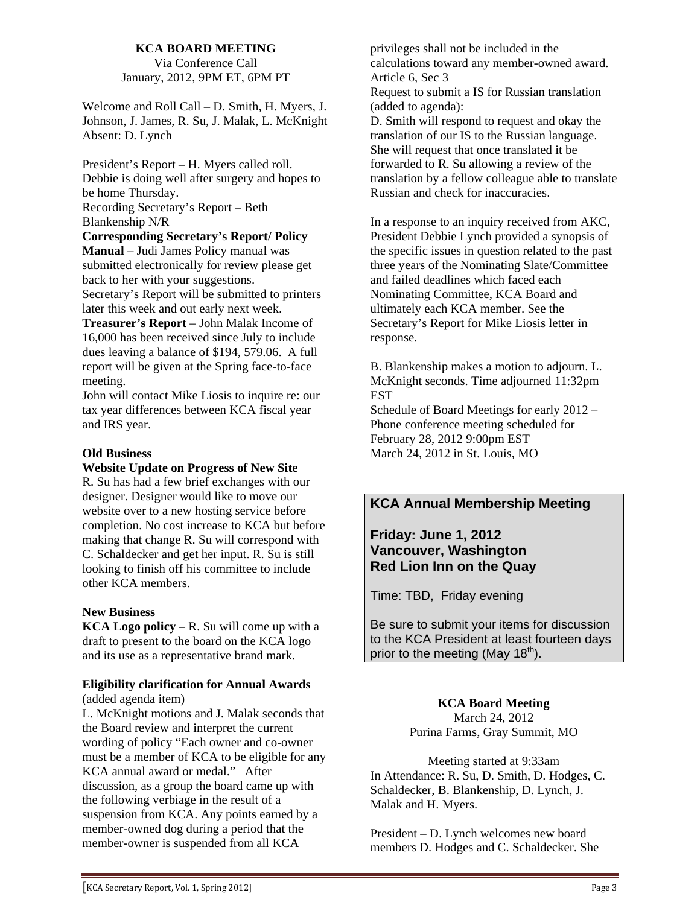#### **KCA BOARD MEETING**

Via Conference Call January, 2012, 9PM ET, 6PM PT

Welcome and Roll Call – D. Smith, H. Myers, J. Johnson, J. James, R. Su, J. Malak, L. McKnight Absent: D. Lynch

President's Report – H. Myers called roll. Debbie is doing well after surgery and hopes to be home Thursday.

Recording Secretary's Report – Beth Blankenship N/R

**Corresponding Secretary's Report/ Policy** 

**Manual** – Judi James Policy manual was submitted electronically for review please get back to her with your suggestions.

Secretary's Report will be submitted to printers later this week and out early next week.

**Treasurer's Report** – John Malak Income of 16,000 has been received since July to include dues leaving a balance of \$194, 579.06. A full report will be given at the Spring face-to-face meeting.

John will contact Mike Liosis to inquire re: our tax year differences between KCA fiscal year and IRS year.

#### **Old Business**

**Website Update on Progress of New Site** 

R. Su has had a few brief exchanges with our designer. Designer would like to move our website over to a new hosting service before completion. No cost increase to KCA but before making that change R. Su will correspond with C. Schaldecker and get her input. R. Su is still looking to finish off his committee to include other KCA members.

#### **New Business**

**KCA Logo policy** – R. Su will come up with a draft to present to the board on the KCA logo and its use as a representative brand mark.

#### **Eligibility clarification for Annual Awards** (added agenda item)

L. McKnight motions and J. Malak seconds that the Board review and interpret the current wording of policy "Each owner and co-owner must be a member of KCA to be eligible for any KCA annual award or medal." After discussion, as a group the board came up with the following verbiage in the result of a suspension from KCA. Any points earned by a member-owned dog during a period that the member-owner is suspended from all KCA

privileges shall not be included in the calculations toward any member-owned award. Article 6, Sec 3 Request to submit a IS for Russian translation

(added to agenda):

D. Smith will respond to request and okay the translation of our IS to the Russian language. She will request that once translated it be forwarded to R. Su allowing a review of the translation by a fellow colleague able to translate Russian and check for inaccuracies.

In a response to an inquiry received from AKC, President Debbie Lynch provided a synopsis of the specific issues in question related to the past three years of the Nominating Slate/Committee and failed deadlines which faced each Nominating Committee, KCA Board and ultimately each KCA member. See the Secretary's Report for Mike Liosis letter in response.

B. Blankenship makes a motion to adjourn. L. McKnight seconds. Time adjourned 11:32pm EST

Schedule of Board Meetings for early 2012 – Phone conference meeting scheduled for February 28, 2012 9:00pm EST March 24, 2012 in St. Louis, MO

## **KCA Annual Membership Meeting**

#### **Friday: June 1, 2012 Vancouver, Washington Red Lion Inn on the Quay**

Time: TBD, Friday evening

Be sure to submit your items for discussion to the KCA President at least fourteen days prior to the meeting (May 18<sup>th</sup>).

> **KCA Board Meeting**  March 24, 2012 Purina Farms, Gray Summit, MO

Meeting started at 9:33am In Attendance: R. Su, D. Smith, D. Hodges, C. Schaldecker, B. Blankenship, D. Lynch, J. Malak and H. Myers.

President – D. Lynch welcomes new board members D. Hodges and C. Schaldecker. She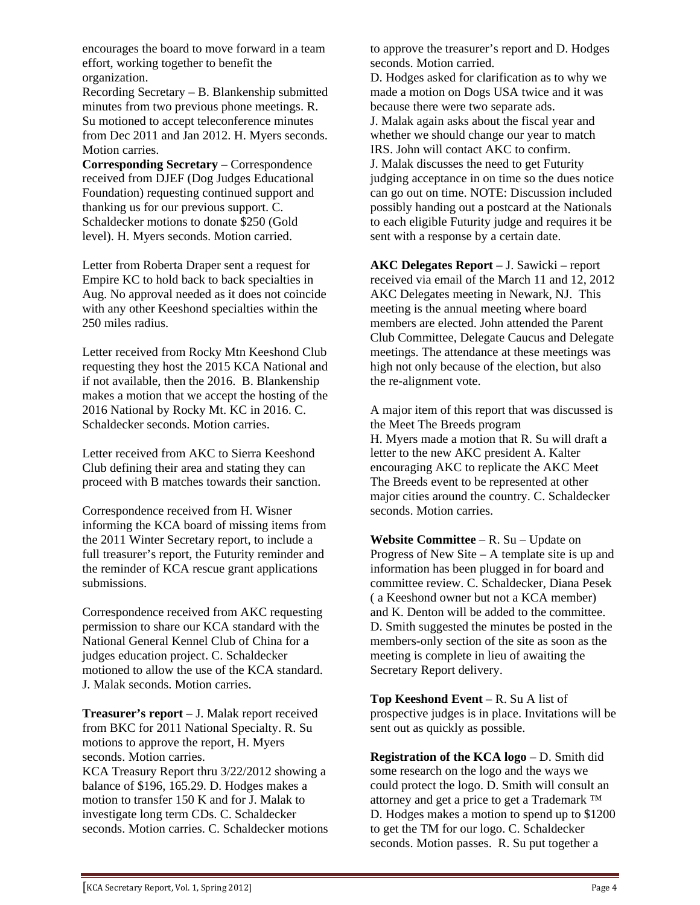encourages the board to move forward in a team effort, working together to benefit the organization.

Recording Secretary – B. Blankenship submitted minutes from two previous phone meetings. R. Su motioned to accept teleconference minutes from Dec 2011 and Jan 2012. H. Myers seconds. Motion carries.

**Corresponding Secretary** – Correspondence received from DJEF (Dog Judges Educational Foundation) requesting continued support and thanking us for our previous support. C. Schaldecker motions to donate \$250 (Gold level). H. Myers seconds. Motion carried.

Letter from Roberta Draper sent a request for Empire KC to hold back to back specialties in Aug. No approval needed as it does not coincide with any other Keeshond specialties within the 250 miles radius.

Letter received from Rocky Mtn Keeshond Club requesting they host the 2015 KCA National and if not available, then the 2016. B. Blankenship makes a motion that we accept the hosting of the 2016 National by Rocky Mt. KC in 2016. C. Schaldecker seconds. Motion carries.

Letter received from AKC to Sierra Keeshond Club defining their area and stating they can proceed with B matches towards their sanction.

Correspondence received from H. Wisner informing the KCA board of missing items from the 2011 Winter Secretary report, to include a full treasurer's report, the Futurity reminder and the reminder of KCA rescue grant applications submissions.

Correspondence received from AKC requesting permission to share our KCA standard with the National General Kennel Club of China for a judges education project. C. Schaldecker motioned to allow the use of the KCA standard. J. Malak seconds. Motion carries.

**Treasurer's report** – J. Malak report received from BKC for 2011 National Specialty. R. Su motions to approve the report, H. Myers seconds. Motion carries.

KCA Treasury Report thru 3/22/2012 showing a balance of \$196, 165.29. D. Hodges makes a motion to transfer 150 K and for J. Malak to investigate long term CDs. C. Schaldecker seconds. Motion carries. C. Schaldecker motions to approve the treasurer's report and D. Hodges seconds. Motion carried.

D. Hodges asked for clarification as to why we made a motion on Dogs USA twice and it was because there were two separate ads. J. Malak again asks about the fiscal year and whether we should change our year to match IRS. John will contact AKC to confirm. J. Malak discusses the need to get Futurity judging acceptance in on time so the dues notice can go out on time. NOTE: Discussion included possibly handing out a postcard at the Nationals to each eligible Futurity judge and requires it be sent with a response by a certain date.

**AKC Delegates Report** – J. Sawicki – report received via email of the March 11 and 12, 2012 AKC Delegates meeting in Newark, NJ. This meeting is the annual meeting where board members are elected. John attended the Parent Club Committee, Delegate Caucus and Delegate meetings. The attendance at these meetings was high not only because of the election, but also the re-alignment vote.

A major item of this report that was discussed is the Meet The Breeds program H. Myers made a motion that R. Su will draft a letter to the new AKC president A. Kalter encouraging AKC to replicate the AKC Meet The Breeds event to be represented at other major cities around the country. C. Schaldecker seconds. Motion carries.

**Website Committee** – R. Su – Update on Progress of New Site – A template site is up and information has been plugged in for board and committee review. C. Schaldecker, Diana Pesek ( a Keeshond owner but not a KCA member) and K. Denton will be added to the committee. D. Smith suggested the minutes be posted in the members-only section of the site as soon as the meeting is complete in lieu of awaiting the Secretary Report delivery.

**Top Keeshond Event** – R. Su A list of prospective judges is in place. Invitations will be sent out as quickly as possible.

**Registration of the KCA logo** – D. Smith did some research on the logo and the ways we could protect the logo. D. Smith will consult an attorney and get a price to get a Trademark ™ D. Hodges makes a motion to spend up to \$1200 to get the TM for our logo. C. Schaldecker seconds. Motion passes. R. Su put together a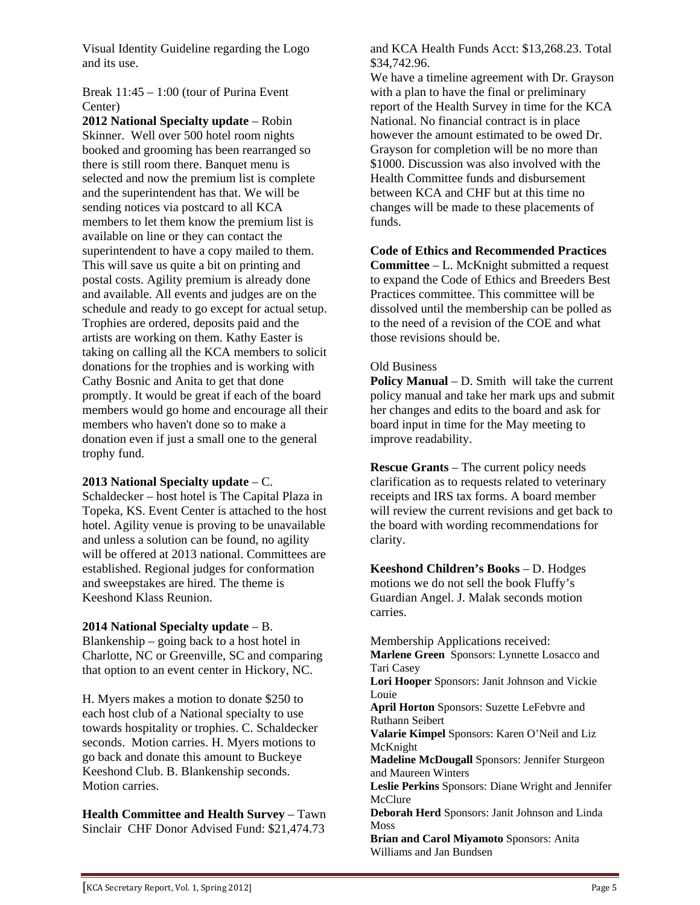Visual Identity Guideline regarding the Logo and its use.

Break 11:45 – 1:00 (tour of Purina Event Center)

**2012 National Specialty update** – Robin Skinner. Well over 500 hotel room nights booked and grooming has been rearranged so there is still room there. Banquet menu is selected and now the premium list is complete and the superintendent has that. We will be sending notices via postcard to all KCA members to let them know the premium list is available on line or they can contact the superintendent to have a copy mailed to them. This will save us quite a bit on printing and postal costs. Agility premium is already done and available. All events and judges are on the schedule and ready to go except for actual setup. Trophies are ordered, deposits paid and the artists are working on them. Kathy Easter is taking on calling all the KCA members to solicit donations for the trophies and is working with Cathy Bosnic and Anita to get that done promptly. It would be great if each of the board members would go home and encourage all their members who haven't done so to make a donation even if just a small one to the general trophy fund.

#### **2013 National Specialty update** – C.

Schaldecker – host hotel is The Capital Plaza in Topeka, KS. Event Center is attached to the host hotel. Agility venue is proving to be unavailable and unless a solution can be found, no agility will be offered at 2013 national. Committees are established. Regional judges for conformation and sweepstakes are hired. The theme is Keeshond Klass Reunion.

#### **2014 National Specialty update** – B.

Blankenship – going back to a host hotel in Charlotte, NC or Greenville, SC and comparing that option to an event center in Hickory, NC.

H. Myers makes a motion to donate \$250 to each host club of a National specialty to use towards hospitality or trophies. C. Schaldecker seconds. Motion carries. H. Myers motions to go back and donate this amount to Buckeye Keeshond Club. B. Blankenship seconds. Motion carries.

**Health Committee and Health Survey** – Tawn Sinclair CHF Donor Advised Fund: \$21,474.73

and KCA Health Funds Acct: \$13,268.23. Total \$34,742.96.

We have a timeline agreement with Dr. Grayson with a plan to have the final or preliminary report of the Health Survey in time for the KCA National. No financial contract is in place however the amount estimated to be owed Dr. Grayson for completion will be no more than \$1000. Discussion was also involved with the Health Committee funds and disbursement between KCA and CHF but at this time no changes will be made to these placements of funds.

**Code of Ethics and Recommended Practices Committee** – L. McKnight submitted a request to expand the Code of Ethics and Breeders Best Practices committee. This committee will be dissolved until the membership can be polled as to the need of a revision of the COE and what those revisions should be.

#### Old Business

**Policy Manual** – D. Smith will take the current policy manual and take her mark ups and submit her changes and edits to the board and ask for board input in time for the May meeting to improve readability.

**Rescue Grants** – The current policy needs clarification as to requests related to veterinary receipts and IRS tax forms. A board member will review the current revisions and get back to the board with wording recommendations for clarity.

**Keeshond Children's Books** – D. Hodges motions we do not sell the book Fluffy's Guardian Angel. J. Malak seconds motion carries.

Membership Applications received: **Marlene Green** Sponsors: Lynnette Losacco and Tari Casey **Lori Hooper** Sponsors: Janit Johnson and Vickie Louie **April Horton** Sponsors: Suzette LeFebvre and Ruthann Seibert **Valarie Kimpel** Sponsors: Karen O'Neil and Liz McKnight **Madeline McDougall** Sponsors: Jennifer Sturgeon and Maureen Winters **Leslie Perkins** Sponsors: Diane Wright and Jennifer **McClure Deborah Herd** Sponsors: Janit Johnson and Linda Moss **Brian and Carol Miyamoto** Sponsors: Anita Williams and Jan Bundsen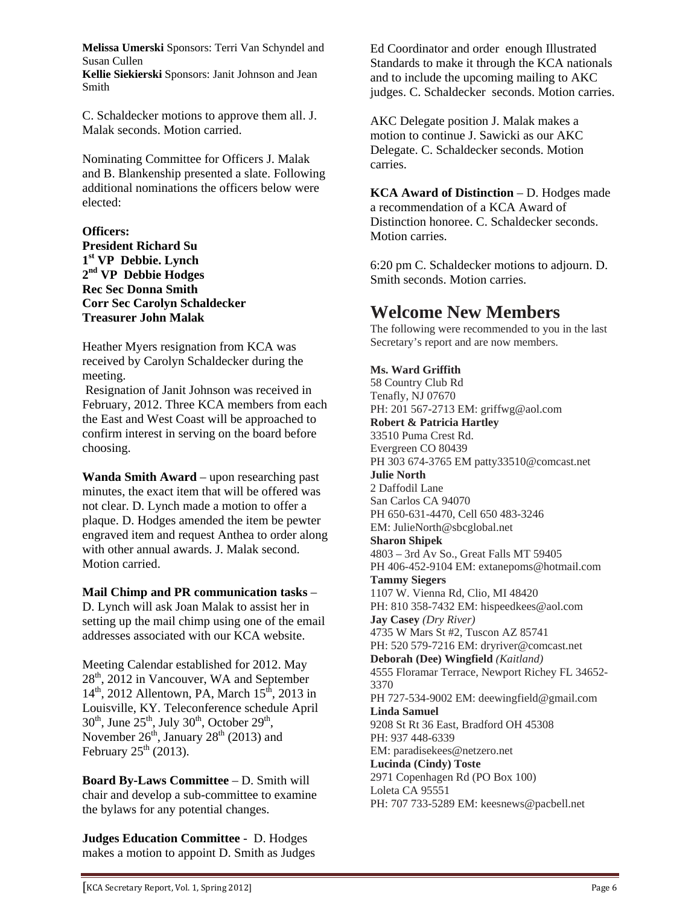**Melissa Umerski** Sponsors: Terri Van Schyndel and Susan Cullen **Kellie Siekierski** Sponsors: Janit Johnson and Jean Smith

C. Schaldecker motions to approve them all. J. Malak seconds. Motion carried.

Nominating Committee for Officers J. Malak and B. Blankenship presented a slate. Following additional nominations the officers below were elected:

**Officers: President Richard Su 1st VP Debbie. Lynch 2nd VP Debbie Hodges Rec Sec Donna Smith Corr Sec Carolyn Schaldecker Treasurer John Malak** 

Heather Myers resignation from KCA was received by Carolyn Schaldecker during the meeting.

 Resignation of Janit Johnson was received in February, 2012. Three KCA members from each the East and West Coast will be approached to confirm interest in serving on the board before choosing.

**Wanda Smith Award** – upon researching past minutes, the exact item that will be offered was not clear. D. Lynch made a motion to offer a plaque. D. Hodges amended the item be pewter engraved item and request Anthea to order along with other annual awards. J. Malak second. Motion carried.

#### **Mail Chimp and PR communication tasks** –

D. Lynch will ask Joan Malak to assist her in setting up the mail chimp using one of the email addresses associated with our KCA website.

Meeting Calendar established for 2012. May 28<sup>th</sup>, 2012 in Vancouver, WA and September  $14<sup>th</sup>$ , 2012 Allentown, PA, March  $15<sup>th</sup>$ , 2013 in Louisville, KY. Teleconference schedule April  $30<sup>th</sup>$ , June  $25<sup>th</sup>$ , July  $30<sup>th</sup>$ , October  $29<sup>th</sup>$ , November  $26<sup>th</sup>$ , January  $28<sup>th</sup>$  (2013) and February  $25<sup>th</sup>$  (2013).

**Board By-Laws Committee** – D. Smith will chair and develop a sub-committee to examine the bylaws for any potential changes.

**Judges Education Committee** - D. Hodges makes a motion to appoint D. Smith as Judges

Ed Coordinator and order enough Illustrated Standards to make it through the KCA nationals and to include the upcoming mailing to AKC judges. C. Schaldecker seconds. Motion carries.

AKC Delegate position J. Malak makes a motion to continue J. Sawicki as our AKC Delegate. C. Schaldecker seconds. Motion carries.

**KCA Award of Distinction** – D. Hodges made a recommendation of a KCA Award of Distinction honoree. C. Schaldecker seconds. Motion carries.

6:20 pm C. Schaldecker motions to adjourn. D. Smith seconds. Motion carries.

## **Welcome New Members**

The following were recommended to you in the last Secretary's report and are now members.

#### **Ms. Ward Griffith**

58 Country Club Rd Tenafly, NJ 07670 PH: 201 567-2713 EM: griffwg@aol.com **Robert & Patricia Hartley**  33510 Puma Crest Rd. Evergreen CO 80439 PH 303 674-3765 EM patty33510@comcast.net **Julie North**  2 Daffodil Lane San Carlos CA 94070 PH 650-631-4470, Cell 650 483-3246 EM: JulieNorth@sbcglobal.net **Sharon Shipek**  4803 – 3rd Av So., Great Falls MT 59405 PH 406-452-9104 EM: extanepoms@hotmail.com **Tammy Siegers**  1107 W. Vienna Rd, Clio, MI 48420 PH: 810 358-7432 EM: hispeedkees@aol.com **Jay Casey** *(Dry River)*  4735 W Mars St #2, Tuscon AZ 85741 PH: 520 579-7216 EM: dryriver@comcast.net **Deborah (Dee) Wingfield** *(Kaitland)*  4555 Floramar Terrace, Newport Richey FL 34652- 3370 PH 727-534-9002 EM: deewingfield@gmail.com **Linda Samuel**  9208 St Rt 36 East, Bradford OH 45308 PH: 937 448-6339 EM: paradisekees@netzero.net **Lucinda (Cindy) Toste**  2971 Copenhagen Rd (PO Box 100) Loleta CA 95551 PH: 707 733-5289 EM: keesnews@pacbell.net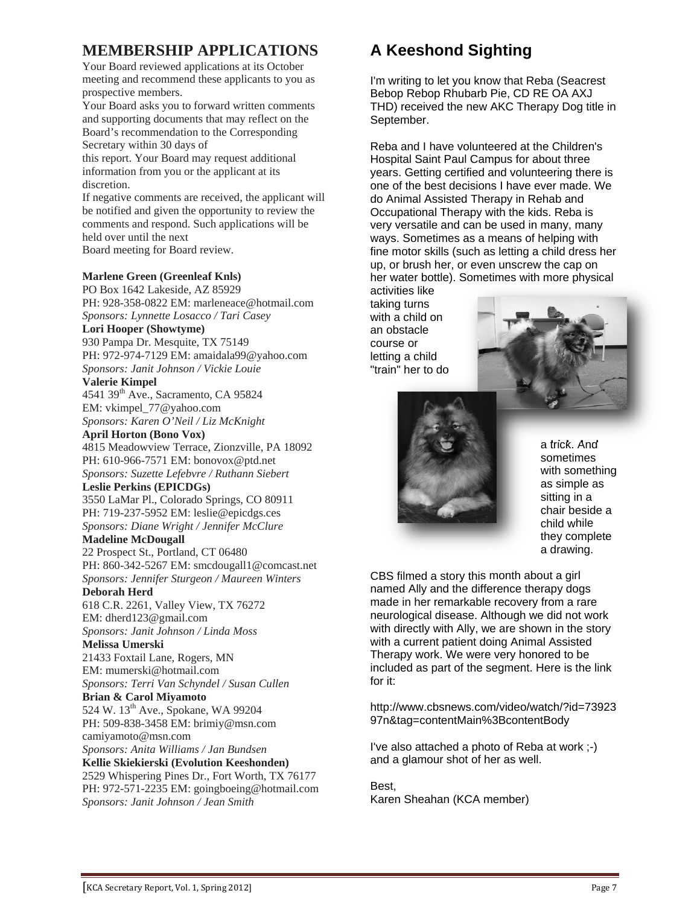## **MEMBERSHIP APPLICATIONS**

Your Board reviewed applications at its October meeting and recommend these applicants to you as prospective members.

Your Board asks you to forward written comments and supporting documents that may reflect on the Board's recommendation to the Corresponding Secretary within 30 days of

this report. Your Board may request additional information from you or the applicant at its discretion.

If negative comments are received, the applicant will be notified and given the opportunity to review the comments and respond. Such applications will be held over until the next Board meeting for Board review.

#### **Marlene Green (Greenleaf Knls)**

PO Box 1642 Lakeside, AZ 85929 PH: 928-358-0822 EM: marleneace@hotmail.com *Sponsors: Lynnette Losacco / Tari Casey* 

#### **Lori Hooper (Showtyme)**

930 Pampa Dr. Mesquite, TX 75149 PH: 972-974-7129 EM: amaidala99@yahoo.com *Sponsors: Janit Johnson / Vickie Louie* 

#### **Valerie Kimpel**

4541 39<sup>th</sup> Ave., Sacramento, CA 95824 EM: vkimpel\_77@yahoo.com *Sponsors: Karen O'Neil / Liz McKnight* 

**April Horton (Bono Vox)** 

4815 Meadowview Terrace, Zionzville, PA 18092 PH: 610-966-7571 EM: bonovox@ptd.net *Sponsors: Suzette Lefebvre / Ruthann Siebert* 

#### **Leslie Perkins (EPICDGs)**

3550 LaMar Pl., Colorado Springs, CO 80911 PH: 719-237-5952 EM: leslie@epicdgs.ces *Sponsors: Diane Wright / Jennifer McClure* 

#### **Madeline McDougall**

22 Prospect St., Portland, CT 06480 PH: 860-342-5267 EM: smcdougall1@comcast.net *Sponsors: Jennifer Sturgeon / Maureen Winters* 

#### **Deborah Herd**

618 C.R. 2261, Valley View, TX 76272 EM: dherd123@gmail.com *Sponsors: Janit Johnson / Linda Moss* 

#### **Melissa Umerski**

21433 Foxtail Lane, Rogers, MN EM: mumerski@hotmail.com *Sponsors: Terri Van Schyndel / Susan Cullen* 

#### **Brian & Carol Miyamoto**

524 W. 13<sup>th</sup> Ave., Spokane, WA 99204 PH: 509-838-3458 EM: brimiy@msn.com

#### camiyamoto@msn.com

*Sponsors: Anita Williams / Jan Bundsen*  **Kellie Skiekierski (Evolution Keeshonden)** 

2529 Whispering Pines Dr., Fort Worth, TX 76177 PH: 972-571-2235 EM: goingboeing@hotmail.com *Sponsors: Janit Johnson / Jean Smith* 

## **A Keeshond Sighting**

I'm writing to let you know that Reba (Seacrest Bebop Rebop Rhubarb Pie, CD RE OA AXJ THD) received the new AKC Therapy Dog title in September.

Reba and I have volunteered at the Children's Hospital Saint Paul Campus for about three years. Getting certified and volunteering there is one of the best decisions I have ever made. We do Animal Assisted Therapy in Rehab and Occupational Therapy with the kids. Reba is very versatile and can be used in many, many ways. Sometimes as a means of helping with fine motor skills (such as letting a child dress her up, or brush her, or even unscrew the cap on her water b ottle). Sometimes with more physical

activities like taking turns with a child on an obstac le course or letting a child "train" her to do





a trick. And sometimes with something as simple as sitting in a chair beside a child w hile they complete a drawing.

CBS filmed a story thi s month about a girl n amed Ally and the difference therapy dogs made in her remarkable recovery from a rare neurological disease. Although we did not wo rk with directly with Ally, we are shown in the story with a current patient doing Animal Assisted Therapy work. We were very honored to be included as part of the segment. Here is the l ink for it:

http://w ww.cbsnews.com/video/watch/?id=73923 9 7n&tag=contentMain%3BcontentBody

I've also attached a photo of Reba at work ;-) a nd a glamour shot of her as well.

Best, K aren Sheahan (KCA member)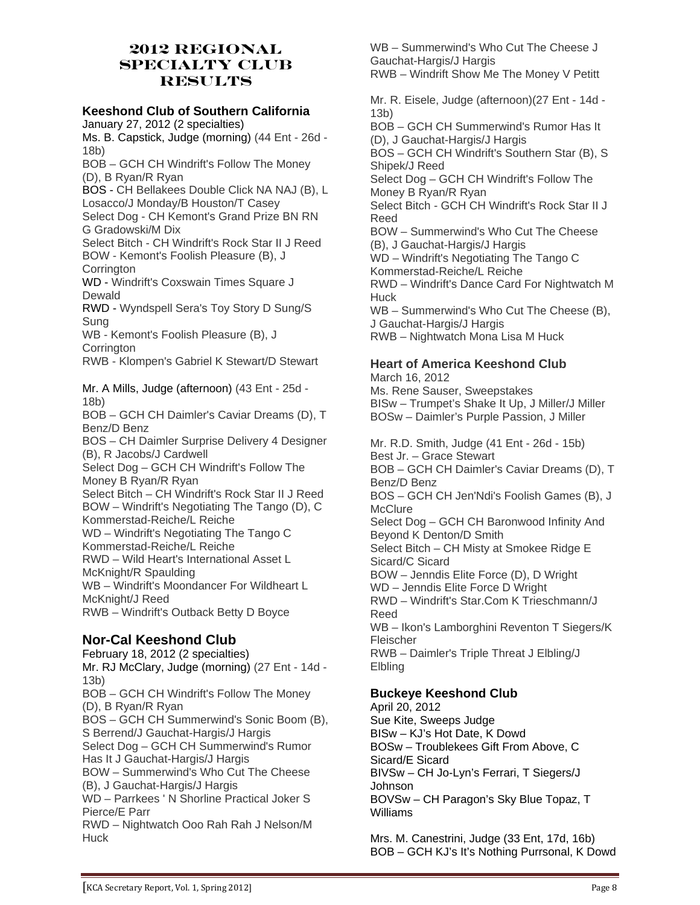#### **2012 Regional Specialty Club Results**

#### **Keeshond Club of Southern California**

January 27, 2012 (2 specialties) Ms. B. Capstick, Judge (morning) (44 Ent - 26d -(D), B Ryan/R Ryan 18b) BOB – GCH CH Windrift's Follow The Money

BOS - CH Bellakees Double Click NA NAJ (B), L Losacco/J Monday/B Houston/T Casey Select Dog - CH Kemont's Grand Prize BN RN

BOW - Kemont's Foolish Pleasure (B), J G Gradowski/M Dix Select Bitch - CH Windrift's Rock Star II J Reed **Corrington** 

WD - Windrift's Coxswain Times Square J Dewald

RWD - Wyndspell Sera's Toy Story D Sung/S Sung

WB - Kemont's Foolish Pleasure (B), J **Corrington** 

RWB - Klompen's Gabriel K Stewart/D Stewart

18b) Mr. A Mills, Judge (afternoon) (43 Ent - 25d -

BOB - GCH CH Daimler's Caviar Dreams (D), T Benz/D Benz

BOS – CH Daimler Surprise Delivery 4 Designer (B), R Jacobs/J Cardwell

Select Dog – GCH CH Windrift's Follow The Money B Ryan/R Ryan

Select Bitch - CH Windrift's Rock Star II J Reed BOW – Windrift's Negotiating The Tango (D), C Kommerstad-Reiche/L Reiche WD – Windrift's Negotiating The Tango C

Kommerstad-Reiche/L Reiche RWD – Wild Heart's International Asset L

McKnight/R Spaulding

WB - Windrift's Moondancer For Wildheart L McKnight/J Reed

RWB – Windrift's Outback Betty D Boyce

## **Nor-Cal Keeshond Club**

February 18, 2012 (2 specialties) Mr. RJ McClary, Judge (morning) (27 Ent - 14d -(D), B Ryan/R Ryan ), BOS – GCH CH Summerwind's Sonic Boom (B S Berrend/J Gauchat-Hargis/J Hargis 13b) BOB – GCH CH Windrift's Follow The Money Select Dog – GCH CH Summerwind's Rumor Has It J Gauchat-Hargis/J Hargis BOW – Summerwind's Who Cut The Cheese (B), J Gauchat-Hargis/J Hargis WD – Parrkees ' N Shorline Practical Joker S Pierce/E Parr

RWD – Nightwatch Ooo Rah Rah J Nelson/M Huck

Gauchat-Hargis/J Hargis WB – Summerwind's Who Cut The Cheese J

RWB – Windrift Show Me The Money V Petitt

3b) 1 Mr. R. Eisele, Judge (afternoon)(27 Ent - 14d -

(D), J Gauchat-Hargis/J Hargis BOB – GCH CH Summerwind's Rumor Has It

BOS – GCH CH Windrift's Southern Star (B), S Shipek/J Reed

Money B Ryan/R Ryan Select Dog – GCH CH Windrift's Follow The

Select Bitch - GCH CH Windrift's Rock Star II J Reed

(B), J Gauchat-Hargis/J Hargis BOW – Summerwind's Who Cut The Cheese

WD – Windrift's Negotiating The Tango C Kommerstad-Reiche/L Reiche

RWD - Windrift's Dance Card For Nightwatch M Huck

J Gauchat-Hargis/J Hargis WB – Summerwind's Who Cut The Cheese (B), RWB – Nightwatch Mona Lisa M Huck

#### **Heart of America Keeshond Club**

March 16, 2012 BISw - Trumpet's Shake It Up, J Miller/J Miller BOSw - Daimler's Purple Passion, J Miller Ms. Rene Sauser, Sweepstakes

Best Jr. - Grace Stewart BOB – GCH CH Daimler's Caviar Dreams (D), T Beyond K Denton/D Smith WD - Jenndis Elite Force D Wright RWD - Windrift's Star.Com K Trieschmann/J WB - Ikon's Lamborghini Reventon T Siegers/K Fleischer Mr. R.D. Smith, Judge (41 Ent - 26d - 15b) Benz/D Benz BOS – GCH CH Jen'Ndi's Foolish Games (B), J **McClure** Select Dog – GCH CH Baronwood Infinity And Select Bitch – CH Misty at Smokee Ridge E Sicard/C Sicard BOW – Jenndis Elite Force (D), D Wright Reed RWB – Daimler's Triple Threat J Elbling/J **Elbling** 

## **Buckeye Keeshond Club**

April 20, 2012 BISw – KJ's Hot Date, K Dowd BOSw - Troublekees Gift From Above, C Sue Kite, Sweeps Judge Sicard/E Sicard BIVSw – CH Jo-Lyn's Ferrari, T Siegers/J Johnson BOVSw – CH Paragon's Sky Blue Topaz, T Williams

Mrs. M. Canestrini, Judge (33 Ent, 17d, 16b) BOB - GCH KJ's It's Nothing Purrsonal, K Dowd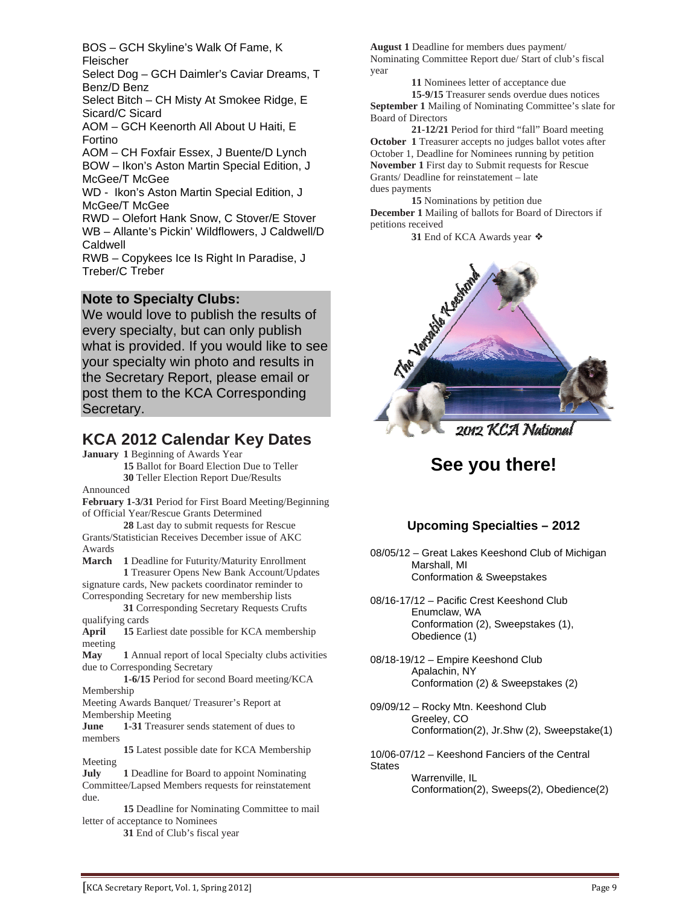BOS – GCH Skyline's Walk Of Fame, K Fleischer

Select Dog - GCH Daimler's Caviar Dreams, T Benz/D Be nz

Sicard/C Sicard Select Bitch – CH Misty At Smokee Ridge, E

AOM – GCH Keenorth All About U Haiti, E Fortino

BOW - Ikon's Aston Martin Special Edition, J AOM – CH Foxfair Essex, J Buente/D Lynch McGee/T McGee

WD - Ikon's Aston Martin Special Edition, J McGee/T McGee

r RWD – Olefort Hank Snow, C Stover/E Stove WB - Allante's Pickin' Wildflowers, J Caldwell/D Caldwell

Treber/C Treber RWB – Copykees Ice Is Right In Paradise, J

#### **Note to Specialty Clubs:**

We would love to publish the results of every specialty, but can only publish what is provided. If you would like to see your specialty win photo and results in the Secretary Report, please email or post them to the KCA Corresponding Secretary.

## **KCA 2012 Calendar Key Dates**

**January 1** Beginning of Awards Year

**15** Ballot for Board Election Due to Teller **30** Teller Election Report Due/Results

Announced

**February 1-3/31** Period for First Board Meeting/Beginning of Official Year/Rescue Grants Determined

**28** Last day to submit requests for Rescue Grants/Statistician Receives December issue of AKC Awards

**March 1** Deadline for Futurity/Maturity Enrollment **1** Treasurer Opens New Bank Account/Updates

signature cards, New packets coordinator reminder to Corresponding Secretary for new membership lists

**31** Corresponding Secretary Requests Crufts qualifying cards

**April 15** Earliest date possible for KCA membership meeting

May 1 Annual report of local Specialty clubs activities due to Corresponding Secretary

**1-6/15** Period for second Board meeting/KCA Membership

Meeting Awards Banquet/ Treasurer's Report at Membership Meeting

June 1-31 Treasurer sends statement of dues to members

15 Latest possible date for KCA Membership Meeting

**July** 1 Deadline for Board to appoint Nominating Committee/Lapsed Members requests for reinstatement due.

15 Deadline for Nominating Committee to mail letter of acceptance to Nominees

**31** End of Club's fiscal year

August 1 Deadline for members dues payment/ Nominating Committee Report due/ Start of club's fiscal year

**11** Nominees letter of acceptance due 15-9/15 Treasurer sends overdue dues notices September 1 Mailing of Nominating Committee's slate for Board of Directors

21-12/21 Period for third "fall" Board meeting **October 1** Treasurer accepts no judges ballot votes after October 1, Deadline for Nominees running by petition **November 1** First day to Submit requests for Rescue Grants/ Deadline for reinstatement – late dues payments

15 Nominations by petition due December 1 Mailing of ballots for Board of Directors if petitions received

**31** End of KCA Awards year ❖



2012 KCA National

# **See you there!**

## **Upcoming Specialties – 2012**

08/05/12 - Great Lakes Keeshond Club of Michigan Conformation & Sweepstakes Marshall, MI

08/16-17/12 - Pacific Crest Keeshond Club Conformation (2), Sweepstakes (1), Enumclaw, WA Obedience (1)

08/18-19/12 – Empire Keeshond Club Conformation (2) & Sweepstakes (2) Apalachin, NY

09/09/12 - Rocky Mtn. Keeshond Club Conformation(2), Jr.Shw (2), Sweepstake(1) Greeley, CO

10/06-07/12 - Keeshond Fanciers of the Central Warrenville, IL Conformation(2), Sweeps(2), Obedience(2) **States**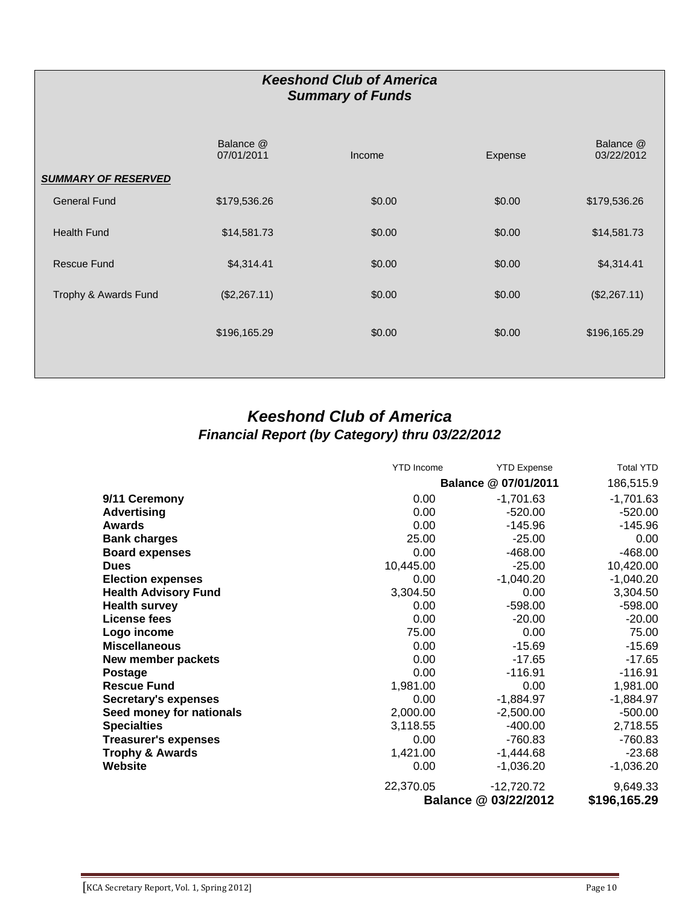## *Keeshond Club of America Summary of Funds*

|                            | Balance @<br>07/01/2011 | Income | Expense | Balance @<br>03/22/2012 |
|----------------------------|-------------------------|--------|---------|-------------------------|
| <b>SUMMARY OF RESERVED</b> |                         |        |         |                         |
| <b>General Fund</b>        | \$179,536.26            | \$0.00 | \$0.00  | \$179,536.26            |
| Health Fund                | \$14,581.73             | \$0.00 | \$0.00  | \$14,581.73             |
| <b>Rescue Fund</b>         | \$4,314.41              | \$0.00 | \$0.00  | \$4,314.41              |
| Trophy & Awards Fund       | (\$2,267.11)            | \$0.00 | \$0.00  | (\$2,267.11)            |
|                            | \$196,165.29            | \$0.00 | \$0.00  | \$196,165.29            |
|                            |                         |        |         |                         |

## *Keeshond Club of America Financial Report (by Category) thru 03/22/2012*

|                             | <b>YTD</b> Income    | <b>YTD Expense</b>   | <b>Total YTD</b> |
|-----------------------------|----------------------|----------------------|------------------|
|                             |                      | Balance @ 07/01/2011 | 186,515.9        |
| 9/11 Ceremony               | 0.00                 | $-1,701.63$          | $-1,701.63$      |
| <b>Advertising</b>          | 0.00                 | $-520.00$            | $-520.00$        |
| <b>Awards</b>               | 0.00                 | $-145.96$            | $-145.96$        |
| <b>Bank charges</b>         | 25.00                | $-25.00$             | 0.00             |
| <b>Board expenses</b>       | 0.00                 | -468.00              | $-468.00$        |
| <b>Dues</b>                 | 10,445.00            | $-25.00$             | 10,420.00        |
| <b>Election expenses</b>    | 0.00                 | $-1,040.20$          | $-1,040.20$      |
| <b>Health Advisory Fund</b> | 3,304.50             | 0.00                 | 3,304.50         |
| <b>Health survey</b>        | 0.00                 | $-598.00$            | $-598.00$        |
| <b>License fees</b>         | 0.00                 | $-20.00$             | $-20.00$         |
| Logo income                 | 75.00                | 0.00                 | 75.00            |
| <b>Miscellaneous</b>        | 0.00                 | $-15.69$             | $-15.69$         |
| New member packets          | 0.00                 | $-17.65$             | $-17.65$         |
| Postage                     | 0.00                 | $-116.91$            | $-116.91$        |
| <b>Rescue Fund</b>          | 1,981.00             | 0.00                 | 1,981.00         |
| <b>Secretary's expenses</b> | 0.00                 | $-1,884.97$          | $-1,884.97$      |
| Seed money for nationals    | 2,000.00             | $-2,500.00$          | $-500.00$        |
| <b>Specialties</b>          | 3,118.55             | $-400.00$            | 2,718.55         |
| <b>Treasurer's expenses</b> | 0.00                 | $-760.83$            | $-760.83$        |
| <b>Trophy &amp; Awards</b>  | 1,421.00             | $-1,444.68$          | $-23.68$         |
| Website                     | 0.00                 | $-1,036.20$          | $-1,036.20$      |
|                             | 22,370.05            | $-12,720.72$         | 9,649.33         |
|                             | Balance @ 03/22/2012 |                      | \$196,165.29     |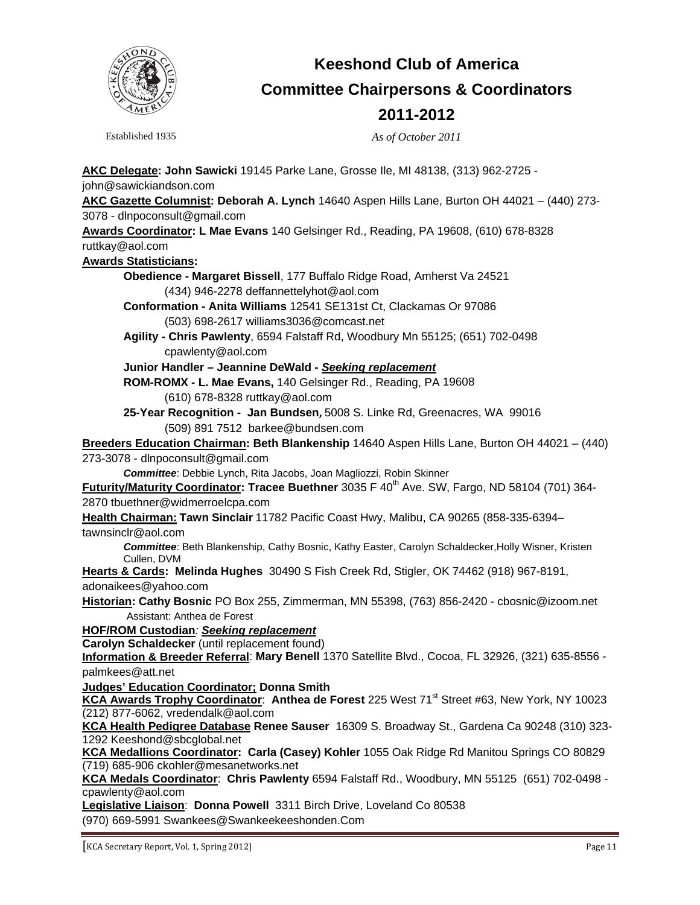

# **Keeshond Club of America Committee Chairpersons & Coordinators 2011-2012**

Established 1935

*s of October 2011*

**KC Delegate A : John Sawicki** 19145 Parke Lane, Grosse Ile, MI 48138, (313) 962-2725 john@sawickiandson.com **AKC Gazette Columnist: Deborah A. Lynch** 14640 Aspen Hills Lane, Burton OH 44021 – (440) 273- 3078 - dlnpoconsult@gmail.com **Awards Coordinator: L Mae Evans** 140 Gelsinger Rd., Reading, PA 19608, (610) 678-8328 **Awards Statisticians:** ruttkay@aol.com Obedience - Margaret Bissell, 177 Buffalo Ridge Road, Amherst Va 24521 **Conformation - Anita Williams** 12541 SE131st Ct, Clackamas Or 97086 **Agility - Chris Pawlenty**, 6594 Falstaff Rd, Woodbury Mn 55125; (651) 702-0498 Junior Handler – Jeannine DeWald - <u>See*king replacement*</u> (434) 946-2278 deffannettelyhot@aol.com (503) 698-2617 williams3036@comcast.net cpawlenty@aol.com ROM-ROMX - L. Mae Evans, 140 Gelsinger Rd., Reading, PA 19608 **25-Year Recognition - Jan Bundsen,** 5008 S. Linke Rd, Greenacres, WA 99016 **Breeders Education Chairman: Beth Blankenship** 14640 Aspen Hills Lane, Burton OH 44021 - (440) (610) 678-8328 ruttkay@aol.com (509) 891 7512 barkee@bundsen.com 273-3078 - dlnpoconsult@gmail.com *Committee*: Debbie Lynch, Rita J acobs, Joan Magliozzi, Robin Skinner **Futurity/Maturity Coordinator: Tracee Buethner** 3035 F 40<sup>th</sup> Ave. SW, Fargo, ND 58104 (701) 364-2870 tbuethner@widmerroelcpa.com **Health Chairman: Tawn Sinclair** 11782 Pacific Coast Hwy, Malibu, CA 90265 (858-335-6394– tawnsinclr@aol.com *Committee*: Bet h Blankenship, Cathy Bosnic, Kathy Easter, Carolyn Schaldecker,Holly Wisner, Kristen **Hearts & Cards: Melinda Hughes** 30490 S Fish Creek Rd, Stigler, OK 74462 (918) 967-8191, Cullen, DVM adonaikees@yahoo.com **Historian: Cathy Bosnic** PO Box 255, Zimmerman, MN 55398, (763) 856-2420 - cbosnic@izoom.net **HOF/RO M Custodian***: Seeking replacement* Assistant: Anthea de Forest **Carolyn Schaldecker** (until replacement found) **Information & Breeder Referral**: **Mary Benell** 1370 Satellite Blvd., Cocoa, FL 32926, (321) 635-8556 - **Judges' Education Coordinator; Donna Smith** palmkees@att.net **KCA Awards Trophy Coordinator: Anthea de Forest 225 West 71<sup>st</sup> Street #63, New York, NY 10023** (212) 877-6062, vredendalk@aol.com **KCA Health Pedigree Database Renee Sauser** 16309 S. Broadway St., Gardena Ca 90248 (310) 323- 1292 Keeshond@sbcglobal.net **KCA Medallions Coordinator: Carla (Casey) Kohler** 1055 Oak Ridge Rd Manitou Springs CO 80829 (719) 685-906 ckohler@mesanetworks.net **KCA Medals Coordinator**: **Chris Pawlenty** 6594 Falstaff Rd., Woodbury, MN 55125 (651) 702-0498 -

cpawlenty@aol.com

**Legislative Liaison**: **Donna Powell** 3311 Birch Drive, Loveland Co 80538

(970) 669-5991 Swankees@Swankeekeeshonden.Com